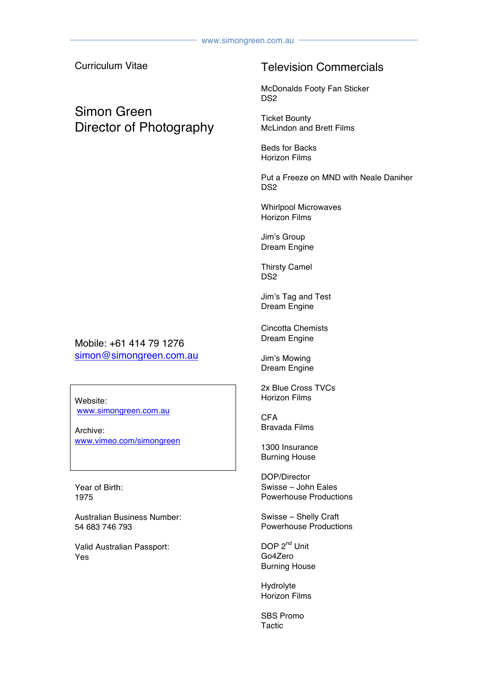Curriculum Vitae

## Simon Green Director of Photography

#### Television Commercials

McDonalds Footy Fan Sticker D<sub>S2</sub>

Ticket Bounty McLindon and Brett Films

Beds for Backs Horizon Films

Put a Freeze on MND with Neale Daniher D<sub>S2</sub>

Whirlpool Microwaves Horizon Films

Jim's Group Dream Engine

Thirsty Camel D<sub>S2</sub>

Jim's Tag and Test Dream Engine

Cincotta Chemists Dream Engine

Jim's Mowing Dream Engine

2x Blue Cross TVCs Horizon Films

CFA Bravada Films

1300 Insurance Burning House

DOP/Director Swisse – John Eales Powerhouse Productions

Swisse – Shelly Craft Powerhouse Productions

DOP 2<sup>nd</sup> Unit Go4Zero Burning House

Hydrolyte Horizon Films

SBS Promo **Tactic** 

Mobile: +61 414 79 1276 simon@simongreen.com.au

Website: www.simongreen.com.au

Archive: www.vimeo.com/simongreen

Year of Birth: 1975

Australian Business Number: 54 683 746 793

Valid Australian Passport: Yes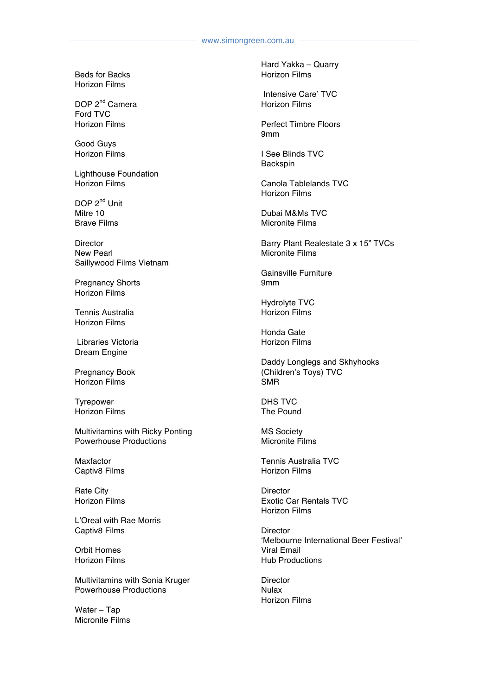Beds for Backs Horizon Films

DOP 2<sup>nd</sup> Camera Ford TVC Horizon Films

Good Guys Horizon Films

Lighthouse Foundation Horizon Films

DOP 2<sup>nd</sup> Unit Mitre 10 Brave Films

**Director** New Pearl Saillywood Films Vietnam

Pregnancy Shorts Horizon Films

Tennis Australia Horizon Films

Libraries Victoria Dream Engine

Pregnancy Book Horizon Films

Tyrepower Horizon Films

Multivitamins with Ricky Ponting Powerhouse Productions

Maxfactor Captiv8 Films

Rate City Horizon Films

L'Oreal with Rae Morris Captiv8 Films

Orbit Homes Horizon Films

Multivitamins with Sonia Kruger Powerhouse Productions

Water – Tap Micronite Films Hard Yakka – Quarry Horizon Films

Intensive Care' TVC Horizon Films

Perfect Timbre Floors 9mm

I See Blinds TVC Backspin

Canola Tablelands TVC Horizon Films

Dubai M&Ms TVC Micronite Films

Barry Plant Realestate 3 x 15" TVCs Micronite Films

Gainsville Furniture 9mm

Hydrolyte TVC Horizon Films

Honda Gate Horizon Films

Daddy Longlegs and Skhyhooks (Children's Toys) TVC SMR

DHS TVC The Pound

MS Society Micronite Films

Tennis Australia TVC Horizon Films

**Director** Exotic Car Rentals TVC Horizon Films

**Director** 'Melbourne International Beer Festival' Viral Email Hub Productions

**Director** Nulax Horizon Films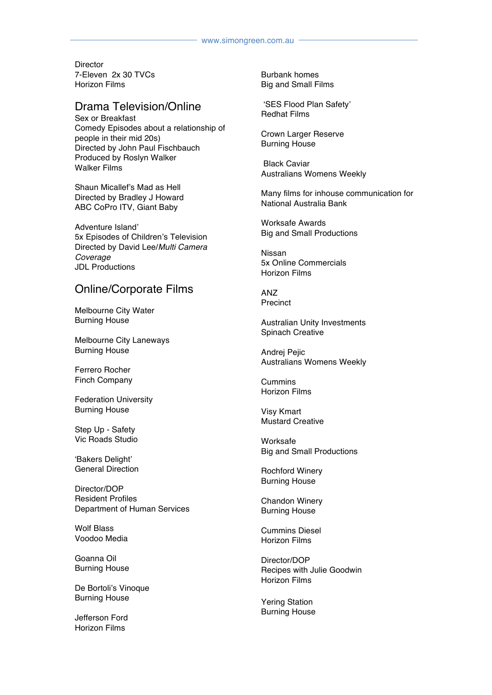**Director** 7-Eleven 2x 30 TVCs Horizon Films

#### Drama Television/Online

Sex or Breakfast Comedy Episodes about a relationship of people in their mid 20s) Directed by John Paul Fischbauch Produced by Roslyn Walker Walker Films

Shaun Micallef's Mad as Hell Directed by Bradley J Howard ABC CoPro ITV, Giant Baby

Adventure Island' 5x Episodes of Children's Television Directed by David Lee/*Multi Camera Coverage* JDL Productions

#### Online/Corporate Films

Melbourne City Water Burning House

Melbourne City Laneways Burning House

Ferrero Rocher Finch Company

Federation University Burning House

Step Up - Safety Vic Roads Studio

'Bakers Delight' General Direction

Director/DOP Resident Profiles Department of Human Services

Wolf Blass Voodoo Media

Goanna Oil Burning House

De Bortoli's Vinoque Burning House

Jefferson Ford Horizon Films

Burbank homes Big and Small Films

'SES Flood Plan Safety' Redhat Films

Crown Larger Reserve Burning House

Black Caviar Australians Womens Weekly

Many films for inhouse communication for National Australia Bank

Worksafe Awards Big and Small Productions

Nissan 5x Online Commercials Horizon Films

ANZ Precinct

Australian Unity Investments Spinach Creative

Andrej Pejic Australians Womens Weekly

Cummins Horizon Films

Visy Kmart Mustard Creative

Worksafe Big and Small Productions

Rochford Winery Burning House

Chandon Winery Burning House

Cummins Diesel Horizon Films

Director/DOP Recipes with Julie Goodwin Horizon Films

Yering Station Burning House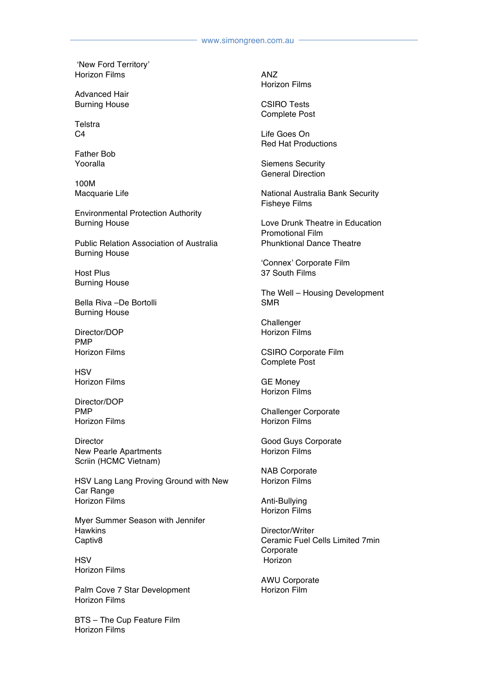'New Ford Territory' Horizon Films

Advanced Hair Burning House

**Telstra**  $C<sub>4</sub>$ 

Father Bob Yooralla

100M Macquarie Life

Environmental Protection Authority Burning House

Public Relation Association of Australia Burning House

Host Plus Burning House

Bella Riva –De Bortolli Burning House

Director/DOP PMP Horizon Films

**HSV** Horizon Films

Director/DOP PMP Horizon Films

**Director** New Pearle Apartments Scriin (HCMC Vietnam)

HSV Lang Lang Proving Ground with New Car Range Horizon Films

Myer Summer Season with Jennifer **Hawkins** Captiv8

**HSV** Horizon Films

Palm Cove 7 Star Development Horizon Films

BTS – The Cup Feature Film Horizon Films

ANZ Horizon Films

CSIRO Tests Complete Post

Life Goes On Red Hat Productions

Siemens Security General Direction

National Australia Bank Security Fisheye Films

Love Drunk Theatre in Education Promotional Film Phunktional Dance Theatre

'Connex' Corporate Film 37 South Films

The Well – Housing Development SMR

**Challenger** Horizon Films

CSIRO Corporate Film Complete Post

GE Money Horizon Films

Challenger Corporate Horizon Films

Good Guys Corporate Horizon Films

NAB Corporate Horizon Films

Anti-Bullying Horizon Films

Director/Writer Ceramic Fuel Cells Limited 7min Corporate Horizon

AWU Corporate Horizon Film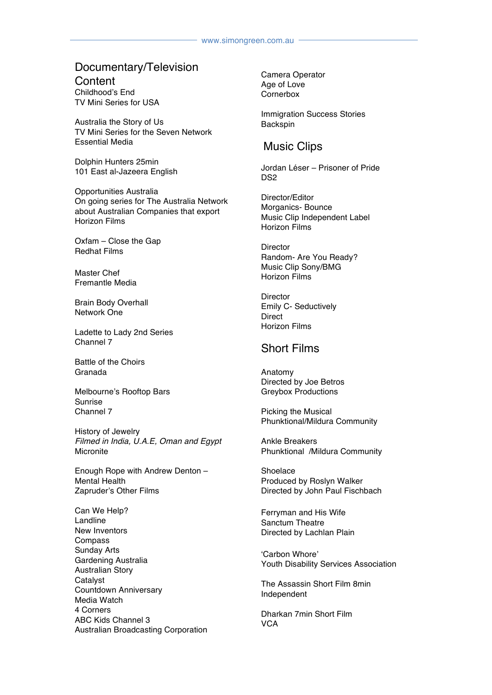# Documentary/Television

**Content** Childhood's End TV Mini Series for USA

Australia the Story of Us TV Mini Series for the Seven Network Essential Media

Dolphin Hunters 25min 101 East al-Jazeera English

Opportunities Australia On going series for The Australia Network about Australian Companies that export Horizon Films

Oxfam – Close the Gap Redhat Films

Master Chef Fremantle Media

Brain Body Overhall Network One

Ladette to Lady 2nd Series Channel 7

Battle of the Choirs Granada

Melbourne's Rooftop Bars Sunrise Channel 7

History of Jewelry *Filmed in India, U.A.E, Oman and Egypt*  **Micronite** 

Enough Rope with Andrew Denton – Mental Health Zapruder's Other Films

Can We Help? Landline New Inventors Compass Sunday Arts Gardening Australia Australian Story Catalyst Countdown Anniversary Media Watch 4 Corners ABC Kids Channel 3 Australian Broadcasting Corporation Camera Operator Age of Love **Cornerbox** 

Immigration Success Stories Backspin

#### Music Clips

Jordan Léser – Prisoner of Pride D<sub>S2</sub>

Director/Editor Morganics- Bounce Music Clip Independent Label Horizon Films

**Director** Random- Are You Ready? Music Clip Sony/BMG Horizon Films

**Director** Emily C- Seductively **Direct** Horizon Films

#### Short Films

Anatomy Directed by Joe Betros Greybox Productions

Picking the Musical Phunktional/Mildura Community

Ankle Breakers Phunktional /Mildura Community

Shoelace Produced by Roslyn Walker Directed by John Paul Fischbach

Ferryman and His Wife Sanctum Theatre Directed by Lachlan Plain

'Carbon Whore' Youth Disability Services Association

The Assassin Short Film 8min Independent

Dharkan 7min Short Film **VCA**